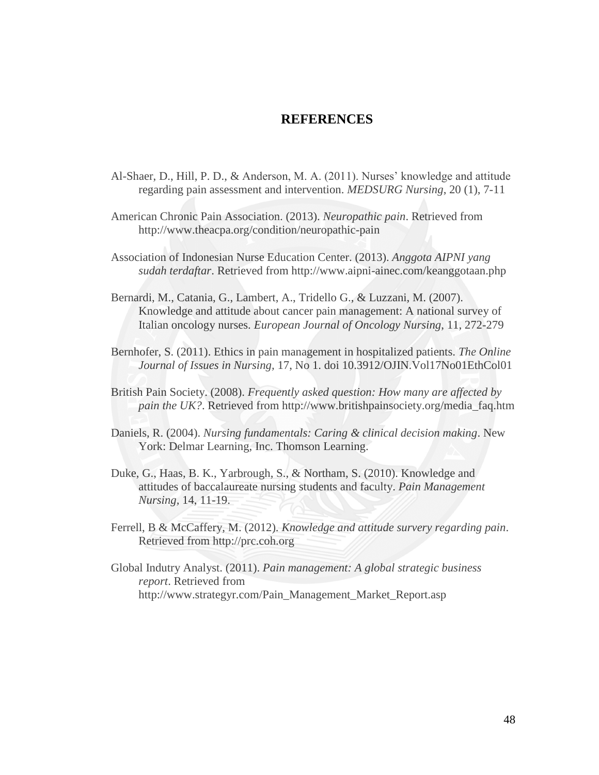## **REFERENCES**

- Al-Shaer, D., Hill, P. D., & Anderson, M. A. (2011). Nurses' knowledge and attitude regarding pain assessment and intervention. *MEDSURG Nursing*, 20 (1), 7-11
- American Chronic Pain Association. (2013). *Neuropathic pain*. Retrieved from http://www.theacpa.org/condition/neuropathic-pain
- Association of Indonesian Nurse Education Center. (2013). *Anggota AIPNI yang sudah terdaftar*. Retrieved from http://www.aipni-ainec.com/keanggotaan.php
- Bernardi, M., Catania, G., Lambert, A., Tridello G., & Luzzani, M. (2007). Knowledge and attitude about cancer pain management: A national survey of Italian oncology nurses. *European Journal of Oncology Nursing*, 11, 272-279
- Bernhofer, S. (2011). Ethics in pain management in hospitalized patients. *The Online Journal of Issues in Nursing,* 17, No 1. doi 10.3912/OJIN.Vol17No01EthCol01
- British Pain Society. (2008). *Frequently asked question: How many are affected by pain the UK?*. Retrieved from http://www.britishpainsociety.org/media\_faq.htm
- Daniels, R. (2004). *Nursing fundamentals: Caring & clinical decision making*. New York: Delmar Learning, Inc. Thomson Learning.
- Duke, G., Haas, B. K., Yarbrough, S., & Northam, S. (2010). Knowledge and attitudes of baccalaureate nursing students and faculty. *Pain Management Nursing,* 14, 11-19.
- Ferrell, B & McCaffery, M. (2012). *Knowledge and attitude survery regarding pain*. Retrieved from http://prc.coh.org
- Global Indutry Analyst. (2011). *Pain management: A global strategic business report*. Retrieved from http://www.strategyr.com/Pain\_Management\_Market\_Report.asp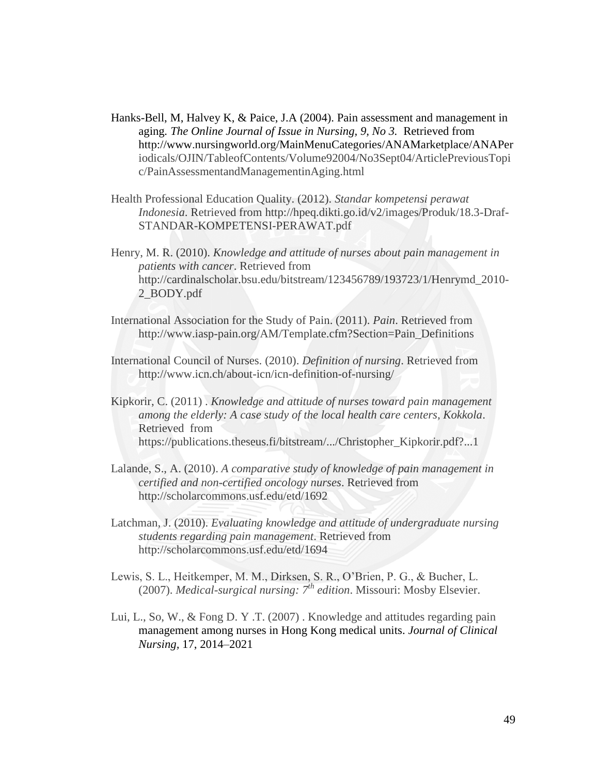- Hanks-Bell, M, Halvey K, & Paice, J.A (2004). Pain assessment and management in aging*. The Online Journal of Issue in Nursing, 9, No 3.* Retrieved from http://www.nursingworld.org/MainMenuCategories/ANAMarketplace/ANAPer iodicals/OJIN/TableofContents/Volume92004/No3Sept04/ArticlePreviousTopi c/PainAssessmentandManagementinAging.html
- Health Professional Education Quality. (2012). *Standar kompetensi perawat Indonesia*. Retrieved from http://hpeq.dikti.go.id/v2/images/Produk/18.3-Draf-STANDAR-KOMPETENSI-PERAWAT.pdf
- Henry, M. R. (2010). *Knowledge and attitude of nurses about pain management in patients with cancer*. Retrieved from http://cardinalscholar.bsu.edu/bitstream/123456789/193723/1/Henrymd\_2010- 2\_BODY.pdf
- International Association for the Study of Pain. (2011). *Pain*. Retrieved from http://www.iasp-pain.org/AM/Template.cfm?Section=Pain\_Definitions
- International Council of Nurses. (2010). *Definition of nursing*. Retrieved from http://www.icn.ch/about-icn/icn-definition-of-nursing/
- Kipkorir, C. (2011) . *Knowledge and attitude of nurses toward pain management among the elderly: A case study of the local health care centers, Kokkola*. Retrieved from https://publications.theseus.fi/bitstream/.../Christopher\_Kipkorir.pdf?...1
- Lalande, S., A. (2010). *A comparative study of knowledge of pain management in certified and non-certified oncology nurses*. Retrieved from http://scholarcommons.usf.edu/etd/1692
- Latchman, J. (2010). *Evaluating knowledge and attitude of undergraduate nursing students regarding pain management*. Retrieved from http://scholarcommons.usf.edu/etd/1694
- Lewis, S. L., Heitkemper, M. M., Dirksen, S. R., O'Brien, P. G., & Bucher, L. (2007). *Medical-surgical nursing: 7th edition*. Missouri: Mosby Elsevier.
- Lui, L., So, W., & Fong D. Y .T. (2007) . Knowledge and attitudes regarding pain management among nurses in Hong Kong medical units. *Journal of Clinical Nursing,* 17, 2014–2021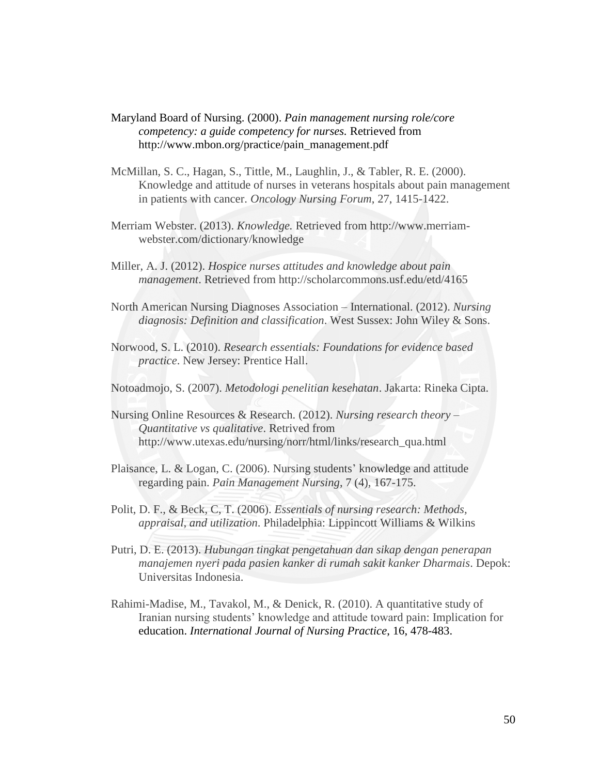- Maryland Board of Nursing. (2000). *Pain management nursing role/core competency: a guide competency for nurses.* Retrieved from http://www.mbon.org/practice/pain\_management.pdf
- McMillan, S. C., Hagan, S., Tittle, M., Laughlin, J., & Tabler, R. E. (2000). Knowledge and attitude of nurses in veterans hospitals about pain management in patients with cancer. *Oncology Nursing Forum*, 27, 1415-1422.
- Merriam Webster. (2013). *Knowledge.* Retrieved from http://www.merriamwebster.com/dictionary/knowledge
- Miller, A. J. (2012). *Hospice nurses attitudes and knowledge about pain management*. Retrieved from http://scholarcommons.usf.edu/etd/4165
- North American Nursing Diagnoses Association International. (2012). *Nursing diagnosis: Definition and classification*. West Sussex: John Wiley & Sons.
- Norwood, S. L. (2010). *Research essentials: Foundations for evidence based practice*. New Jersey: Prentice Hall.
- Notoadmojo, S. (2007). *Metodologi penelitian kesehatan*. Jakarta: Rineka Cipta.
- Nursing Online Resources & Research. (2012). *Nursing research theory Quantitative vs qualitative*. Retrived from http://www.utexas.edu/nursing/norr/html/links/research\_qua.html
- Plaisance, L. & Logan, C. (2006). Nursing students' knowledge and attitude regarding pain. *Pain Management Nursing*, 7 (4), 167-175.
- Polit, D. F., & Beck, C, T. (2006). *Essentials of nursing research: Methods, appraisal, and utilization*. Philadelphia: Lippincott Williams & Wilkins
- Putri, D. E. (2013). *Hubungan tingkat pengetahuan dan sikap dengan penerapan manajemen nyeri pada pasien kanker di rumah sakit kanker Dharmais*. Depok: Universitas Indonesia.
- Rahimi-Madise, M., Tavakol, M., & Denick, R. (2010). A quantitative study of Iranian nursing students' knowledge and attitude toward pain: Implication for education. *International Journal of Nursing Practice*, 16, 478-483.